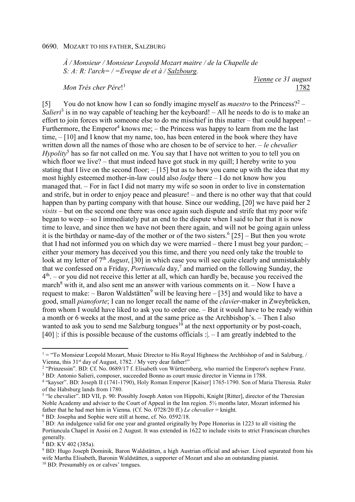*À / Monsieur / Monsieur Leopold Mozart maitre / de la Chapelle de S: A: R: l'arch= / =Eveque de et à / Salzbourg.* 

*Mon Trés cher Pére*! 1

*Vienne ce 31 august*  1782

[5] You do not know how I can so fondly imagine myself as *maestro* to the Princess?<sup>2</sup> – Salieri<sup>3</sup> is in no way capable of teaching her the keyboard! – All he needs to do is to make an effort to join forces with someone else to do me mischief in this matter – that could happen! – Furthermore, the Emperor<sup>4</sup> knows me;  $-$  the Princess was happy to learn from me the last time, – [10] and I know that my name, too, has been entered in the book where they have written down all the names of those who are chosen to be of service to her. – *le chevalier* Hypolity<sup>5</sup> has so far not called on me. You say that I have not written to you to tell you on which floor we live? – that must indeed have got stuck in my quill; I hereby write to you stating that I live on the second floor;  $-[15]$  but as to how you came up with the idea that my most highly esteemed mother-in-law could also *lodge* there – I do not know how you managed that. – For in fact I did not marry my wife so soon in order to live in consternation and strife, but in order to enjoy peace and pleasure! – and there is no other way that that could happen than by parting company with that house. Since our wedding, [20] we have paid her 2 *visits* – but on the second one there was once again such dispute and strife that my poor wife began to weep – so I immediately put an end to the dispute when I said to her that it is now time to leave, and since then we have not been there again, and will not be going again unless it is the birthday or name-day of the mother or of the two sisters.<sup>6</sup> [25] – But then you wrote that I had not informed you on which day we were married – there I must beg your pardon; – either your memory has deceived you this time, and there you need only take the trouble to look at my letter of 7<sup>th</sup> *August*, [30] in which case you will see quite clearly and unmistakably that we confessed on a Friday, *Portiuncula* day,<sup>7</sup> and married on the following Sunday, the  $4<sup>th</sup>$ . – or you did not receive this letter at all, which can hardly be, because you received the march<sup>8</sup> with it, and also sent me an answer with various comments on it.  $-$  Now I have a request to make: – Baron Waldstätten $^9$  will be leaving here – [35] and would like to have a good, small *pianoforte*; I can no longer recall the name of the *clavier*-maker in Zweybrücken, from whom I would have liked to ask you to order one. – But it would have to be ready within a month or 6 weeks at the most, and at the same price as the Archbishop's. – Then I also wanted to ask you to send me Salzburg tongues<sup>10</sup> at the next opportunity or by post-coach, [40] : if this is possible because of the customs officials : |  $-$  I am greatly indebted to the

6 BD: Josepha and Sophie were still at home, cf. No. 0592/18.

 $\overline{a}$ 

 $1 =$  "To Monsieur Leopold Mozart, Music Director to His Royal Highness the Archbishop of and in Salzburg. / Vienna, this 31<sup>st</sup> day of August, 1782. / My very dear father!"

<sup>&</sup>lt;sup>2</sup> "Prinzessin". BD: Cf. No. 0689/17 f. Elisabeth von Württemberg, who married the Emperor's nephew Franz. <sup>3</sup> BD: Antonio Salieri, composer, succeeded Bonno as court music director in Vienna in 1788.

<sup>&</sup>lt;sup>4</sup> "kayser". BD: Joseph II (1741-1790), Holy Roman Emperor [Kaiser] 1765-1790. Son of Maria Theresia. Ruler of the Habsburg lands from 1780.

<sup>&</sup>lt;sup>5</sup> "le chevalier". BD VII, p. 90: Possibly Joseph Anton von Hippolti, Knight [Ritter], director of the Theresian Noble Academy and adviser to the Court of Appeal in the Inn region. 5½ months later, Mozart informed his father that he had met him in Vienna. (Cf. No. 0728/20 ff.) *Le chevalier* = knight.

<sup>&</sup>lt;sup>7</sup> BD: An indulgence valid for one year and granted originally by Pope Honorius in 1223 to all visiting the Portiuncula Chapel in Assisi on 2 August. It was extended in 1622 to include visits to strict Franciscan churches generally.

<sup>8</sup> BD: KV 402 (385a).

<sup>9</sup> BD: Hugo Joseph Dominik, Baron Waldstätten, a high Austrian official and adviser. Lived separated from his wife Martha Elisabeth, Baronin Waldstätten, a supporter of Mozart and also an outstanding pianist.

<sup>10</sup> BD: Presumably ox or calves' tongues.